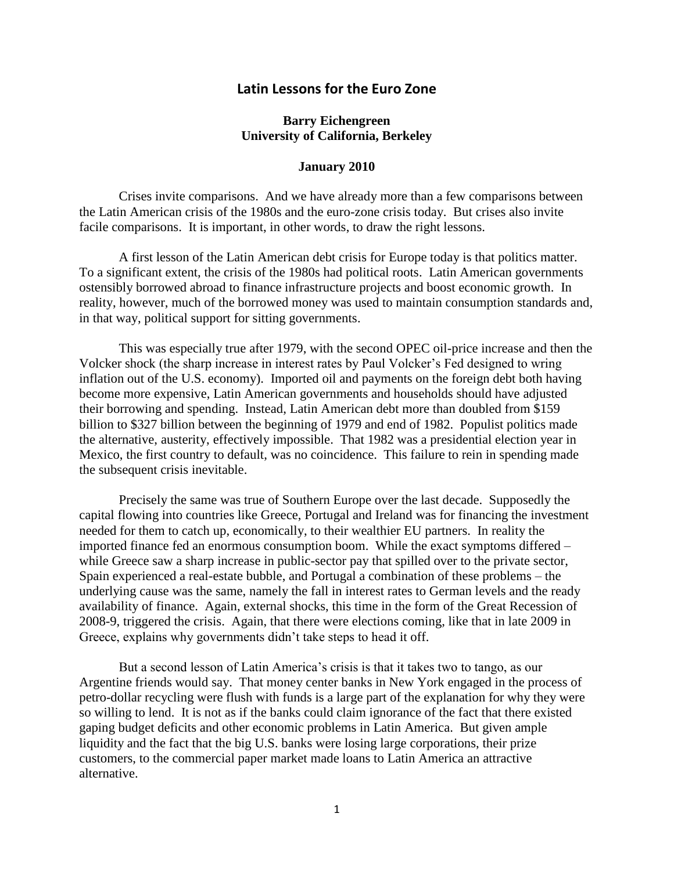## **Latin Lessons for the Euro Zone**

## **Barry Eichengreen University of California, Berkeley**

## **January 2010**

Crises invite comparisons. And we have already more than a few comparisons between the Latin American crisis of the 1980s and the euro-zone crisis today. But crises also invite facile comparisons. It is important, in other words, to draw the right lessons.

A first lesson of the Latin American debt crisis for Europe today is that politics matter. To a significant extent, the crisis of the 1980s had political roots. Latin American governments ostensibly borrowed abroad to finance infrastructure projects and boost economic growth. In reality, however, much of the borrowed money was used to maintain consumption standards and, in that way, political support for sitting governments.

This was especially true after 1979, with the second OPEC oil-price increase and then the Volcker shock (the sharp increase in interest rates by Paul Volcker's Fed designed to wring inflation out of the U.S. economy). Imported oil and payments on the foreign debt both having become more expensive, Latin American governments and households should have adjusted their borrowing and spending. Instead, Latin American debt more than doubled from \$159 billion to \$327 billion between the beginning of 1979 and end of 1982. Populist politics made the alternative, austerity, effectively impossible. That 1982 was a presidential election year in Mexico, the first country to default, was no coincidence. This failure to rein in spending made the subsequent crisis inevitable.

Precisely the same was true of Southern Europe over the last decade. Supposedly the capital flowing into countries like Greece, Portugal and Ireland was for financing the investment needed for them to catch up, economically, to their wealthier EU partners. In reality the imported finance fed an enormous consumption boom. While the exact symptoms differed – while Greece saw a sharp increase in public-sector pay that spilled over to the private sector, Spain experienced a real-estate bubble, and Portugal a combination of these problems – the underlying cause was the same, namely the fall in interest rates to German levels and the ready availability of finance. Again, external shocks, this time in the form of the Great Recession of 2008-9, triggered the crisis. Again, that there were elections coming, like that in late 2009 in Greece, explains why governments didn't take steps to head it off.

But a second lesson of Latin America's crisis is that it takes two to tango, as our Argentine friends would say. That money center banks in New York engaged in the process of petro-dollar recycling were flush with funds is a large part of the explanation for why they were so willing to lend. It is not as if the banks could claim ignorance of the fact that there existed gaping budget deficits and other economic problems in Latin America. But given ample liquidity and the fact that the big U.S. banks were losing large corporations, their prize customers, to the commercial paper market made loans to Latin America an attractive alternative.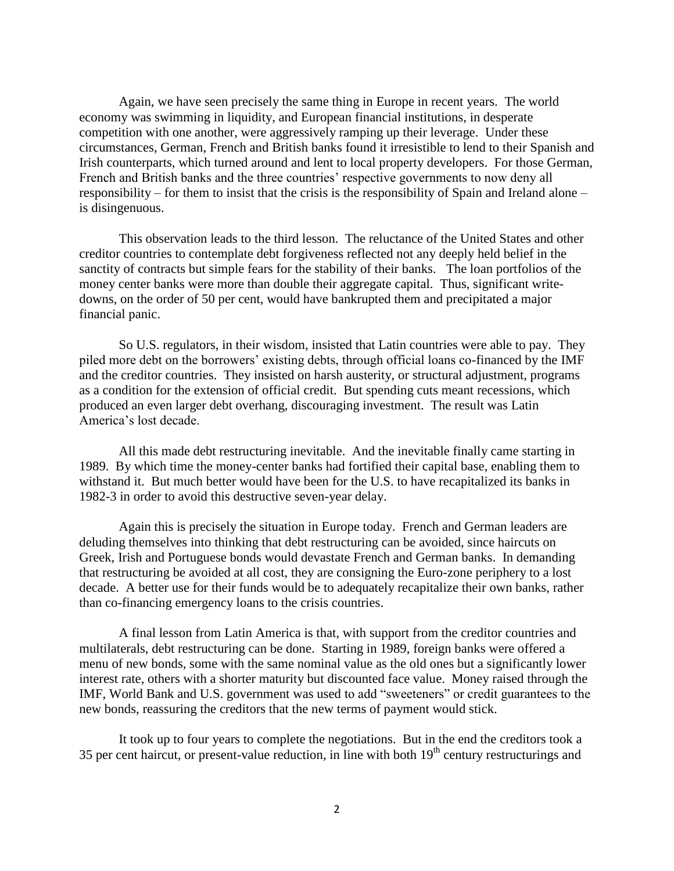Again, we have seen precisely the same thing in Europe in recent years. The world economy was swimming in liquidity, and European financial institutions, in desperate competition with one another, were aggressively ramping up their leverage. Under these circumstances, German, French and British banks found it irresistible to lend to their Spanish and Irish counterparts, which turned around and lent to local property developers. For those German, French and British banks and the three countries' respective governments to now deny all responsibility – for them to insist that the crisis is the responsibility of Spain and Ireland alone – is disingenuous.

This observation leads to the third lesson. The reluctance of the United States and other creditor countries to contemplate debt forgiveness reflected not any deeply held belief in the sanctity of contracts but simple fears for the stability of their banks. The loan portfolios of the money center banks were more than double their aggregate capital. Thus, significant writedowns, on the order of 50 per cent, would have bankrupted them and precipitated a major financial panic.

So U.S. regulators, in their wisdom, insisted that Latin countries were able to pay. They piled more debt on the borrowers' existing debts, through official loans co-financed by the IMF and the creditor countries. They insisted on harsh austerity, or structural adjustment, programs as a condition for the extension of official credit. But spending cuts meant recessions, which produced an even larger debt overhang, discouraging investment. The result was Latin America's lost decade.

All this made debt restructuring inevitable. And the inevitable finally came starting in 1989. By which time the money-center banks had fortified their capital base, enabling them to withstand it. But much better would have been for the U.S. to have recapitalized its banks in 1982-3 in order to avoid this destructive seven-year delay.

Again this is precisely the situation in Europe today. French and German leaders are deluding themselves into thinking that debt restructuring can be avoided, since haircuts on Greek, Irish and Portuguese bonds would devastate French and German banks. In demanding that restructuring be avoided at all cost, they are consigning the Euro-zone periphery to a lost decade. A better use for their funds would be to adequately recapitalize their own banks, rather than co-financing emergency loans to the crisis countries.

A final lesson from Latin America is that, with support from the creditor countries and multilaterals, debt restructuring can be done. Starting in 1989, foreign banks were offered a menu of new bonds, some with the same nominal value as the old ones but a significantly lower interest rate, others with a shorter maturity but discounted face value. Money raised through the IMF, World Bank and U.S. government was used to add "sweeteners" or credit guarantees to the new bonds, reassuring the creditors that the new terms of payment would stick.

It took up to four years to complete the negotiations. But in the end the creditors took a 35 per cent haircut, or present-value reduction, in line with both  $19<sup>th</sup>$  century restructurings and